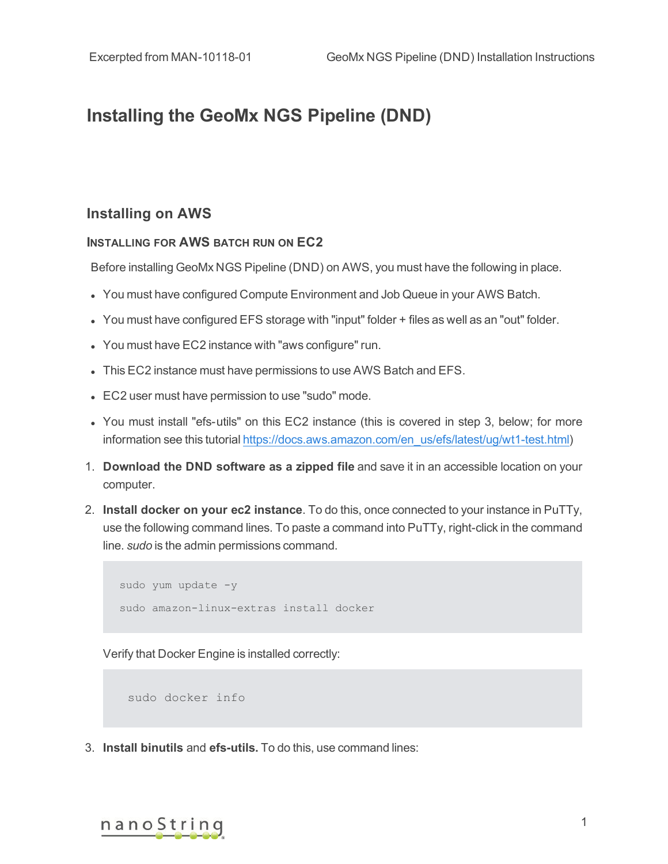## **Installing the GeoMx NGS Pipeline (DND)**

## **Installing on AWS**

## **INSTALLING FOR AWS BATCH RUN ON EC2**

Before installing GeoMx NGS Pipeline (DND) on AWS, you must have the following in place.

- You must have configured Compute Environment and Job Queue in your AWS Batch.
- You must have configured EFS storage with "input" folder + files as well as an "out" folder.
- You must have EC2 instance with "aws configure" run.
- This EC2 instance must have permissions to use AWS Batch and EFS.
- EC2 user must have permission to use "sudo" mode.
- You must install "efs-utils" on this EC2 instance (this is covered in step 3, below; for more information see this tutorial https://docs.aws.amazon.com/en\_us/efs/latest/ug/wt1-test.html)
- 1. **Download the DND software as a zipped file** and save it in an accessible location on your computer.
- 2. **Install docker on your ec2 instance**. To do this, once connected to your instance in PuTTy, use the following command lines. To paste a command into PuTTy, right-click in the command line. *sudo* is the admin permissions command.

```
sudo yum update -y
sudo amazon-linux-extras install docker
```
Verify that Docker Engine is installed correctly:

sudo docker info

3. **Install binutils** and **efs-utils.** To do this, use command lines:

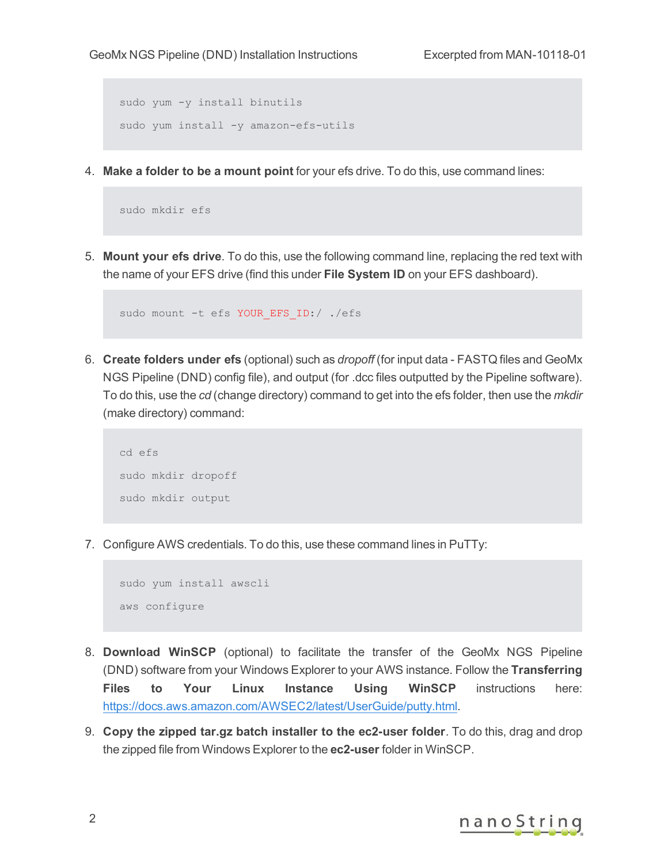```
sudo yum -y install binutils
sudo yum install -y amazon-efs-utils
```
4. **Make a folder to be a mount point** for your efs drive. To do this, use command lines:

```
sudo mkdir efs
```
5. **Mount your efs drive**. To do this, use the following command line, replacing the red text with the name of your EFS drive (find this under **File System ID** on your EFS dashboard).

```
sudo mount -t efs YOUR EFS ID:/ ./efs
```
6. **Create folders under efs** (optional) such as *dropoff* (for input data - FASTQ files and GeoMx NGS Pipeline (DND) config file), and output (for .dcc files outputted by the Pipeline software). To do this, use the *cd* (change directory) command to get into the efs folder, then use the *mkdir* (make directory) command:

```
cd efs
sudo mkdir dropoff
sudo mkdir output
```
7. Configure AWS credentials. To do this, use these command lines in PuTTy:

```
sudo yum install awscli
aws configure
```
- 8. **Download WinSCP** (optional) to facilitate the transfer of the GeoMx NGS Pipeline (DND) software from your Windows Explorer to your AWS instance. Follow the **Transferring Files to Your Linux Instance Using WinSCP** instructions here: <https://docs.aws.amazon.com/AWSEC2/latest/UserGuide/putty.html>.
- 9. **Copy the zipped tar.gz batch installer to the ec2-user folder**. To do this, drag and drop the zipped file from Windows Explorer to the **ec2-user** folder in WinSCP.